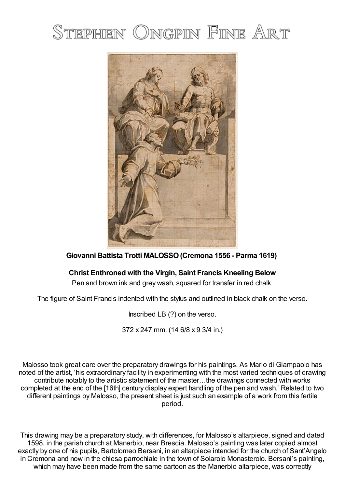# STEPHEN ONGPIN FINE ART



## **Giovanni Battista Trotti MALOSSO(Cremona 1556 - Parma 1619)**

## **Christ Enthroned with the Virgin, Saint Francis Kneeling Below**

Pen and brown ink and grey wash, squared for transfer in red chalk.

The figure of Saint Francis indented with the stylus and outlined in black chalk on the verso.

Inscribed LB (?) on the verso.

372 x 247 mm. (14 6/8 x 9 3/4 in.)

Malosso took great care over the preparatory drawings for his paintings. As Mario di Giampaolo has noted of the artist, 'his extraordinary facility in experimenting with the most varied techniques of drawing contribute notably to the artistic statement of the master…the drawings connected with works completed at the end of the [16th] century display expert handling of the pen and wash.' Related to two different paintings by Malosso, the present sheet is just such an example of a work from this fertile period.

This drawing may be a preparatory study, with differences, for Malosso's altarpiece, signed and dated 1598, in the parish church at Manerbio, near Brescia. Malosso's painting was later copied almost exactly by one of his pupils, Bartolomeo Bersani, in an altarpiece intended for the church of Sant'Angelo in Cremona and now in the chiesa parrochiale in the town of Solarolo Monasterolo. Bersani's painting, which may have been made from the same cartoon as the Manerbio altarpiece, was correctly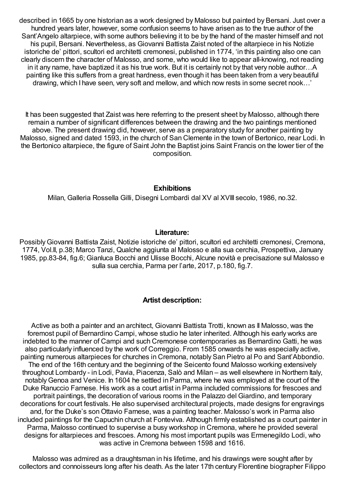described in 1665 by one historian as a work designed by Malosso but painted by Bersani. Just over a hundred years later, however, some confusion seems to have arisen as to the true author of the Sant'Angelo altarpiece, with some authors believing it to be by the hand of the master himself and not his pupil, Bersani. Nevertheless, as Giovanni Battista Zaist noted of the altarpiece in his Notizie istoriche de' pittori, scultori ed architetti cremonesi, published in 1774, 'in this painting also one can clearly discern the character of Malosso, and some, who would like to appear all-knowing, not reading in it any name, have baptized it as his true work. But it is certainly not by that very noble author…A painting like this suffers from a great hardness, even though it has been taken from a very beautiful drawing, which I have seen, very soft and mellow, and which now rests in some secret nook…'

It has been suggested that Zaist was here referring to the present sheet by Malosso, although there remain a number of significant differences between the drawing and the two paintings mentioned above. The present drawing did, however, serve as a preparatory study for another painting by Malosso, signed and dated 1593, in the church of San Clemente in the town of Bertonico, near Lodi. In the Bertonico altarpiece, the figure of Saint John the Baptist joins Saint Francis on the lower tier of the composition.

#### **Exhibitions**

Milan, Galleria Rossella Gilli, Disegni Lombardi dal XV al XVIII secolo, 1986, no.32.

#### **Literature:**

PossiblyGiovanni Battista Zaist, Notizie istoriche de' pittori, scultori ed architetti cremonesi, Cremona, 1774, Vol.II, p.38; Marco Tanzi, Qualche aggiunta al Malosso e alla sua cerchia, Prospettiva, January 1985, pp.83-84, fig.6; Gianluca Bocchi and Ulisse Bocchi, Alcune novità e precisazione sul Malosso e sulla sua cerchia, Parma per l'arte, 2017, p.180, fig.7.

### **Artist description:**

Active as both a painter and an architect, Giovanni Battista Trotti, known as Il Malosso, was the foremost pupil of Bernardino Campi, whose studio he later inherited. Although his early works are indebted to the manner of Campi and such Cremonese contemporaries as Bernardino Gatti, he was also particularly influenced by the work of Correggio. From 1585 onwards he was especially active, painting numerous altarpieces for churches in Cremona, notably San Pietro al Po and Sant'Abbondio. The end of the 16th century and the beginning of the Seicento found Malosso working extensively throughout Lombardy - in Lodi, Pavia, Piacenza, Salò and Milan – as well elsewhere in Northern Italy, notablyGenoa and Venice. In 1604 he settled in Parma, where he was employed at the court of the Duke Ranuccio Farnese. His work as a court artist in Parma included commissions for frescoes and portrait paintings, the decoration of various rooms in the Palazzo del Giardino, and temporary decorations for court festivals. He also supervised architectural projects, made designs for engravings and, for the Duke's son Ottavio Farnese, was a painting teacher. Malosso's work in Parma also included paintings for the Capuchin church at Fonteviva. Although firmly established as a court painter in Parma, Malosso continued to supervise a busy workshop in Cremona, where he provided several designs for altarpieces and frescoes. Among his most important pupils was Ermenegildo Lodi, who was active in Cremona between 1598 and 1616.

Malosso was admired as a draughtsman in his lifetime, and his drawings were sought after by collectors and connoisseurs long after his death. As the later 17th century Florentine biographer Filippo